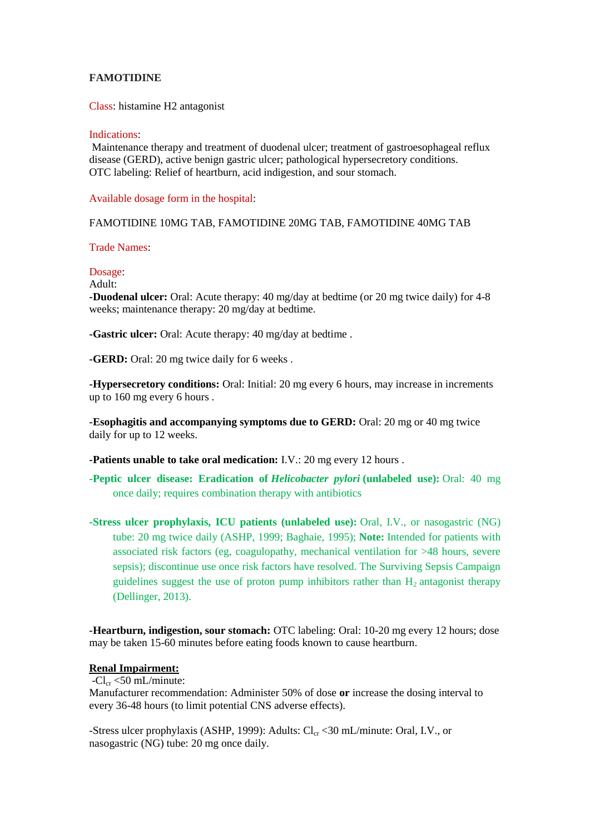## **FAMOTIDINE**

Class: histamine H2 antagonist

#### Indications:

Maintenance therapy and treatment of duodenal ulcer; treatment of gastroesophageal reflux disease (GERD), active benign gastric ulcer; pathological hypersecretory conditions. OTC labeling: Relief of heartburn, acid indigestion, and sour stomach.

Available dosage form in the hospital:

## FAMOTIDINE 10MG TAB, FAMOTIDINE 20MG TAB, FAMOTIDINE 40MG TAB

#### Trade Names:

#### Dosage:

Adult:

**-Duodenal ulcer:** Oral: Acute therapy: 40 mg/day at bedtime (or 20 mg twice daily) for 4-8 weeks; maintenance therapy: 20 mg/day at bedtime.

**-Gastric ulcer:** Oral: Acute therapy: 40 mg/day at bedtime .

**-GERD:** Oral: 20 mg twice daily for 6 weeks .

**-Hypersecretory conditions:** Oral: Initial: 20 mg every 6 hours, may increase in increments up to 160 mg every 6 hours .

**-Esophagitis and accompanying symptoms due to GERD:** Oral: 20 mg or 40 mg twice daily for up to 12 weeks.

**-Patients unable to take oral medication:** I.V.: 20 mg every 12 hours .

- **-Peptic ulcer disease: Eradication of** *Helicobacter pylori* **(unlabeled use):** Oral: 40 mg once daily; requires combination therapy with antibiotics
- **-Stress ulcer prophylaxis, ICU patients (unlabeled use):** Oral, I.V., or nasogastric (NG) tube: 20 mg twice daily (ASHP, 1999; Baghaie, 1995); **Note:** Intended for patients with associated risk factors (eg, coagulopathy, mechanical ventilation for >48 hours, severe sepsis); discontinue use once risk factors have resolved. The Surviving Sepsis Campaign guidelines suggest the use of proton pump inhibitors rather than  $H_2$  antagonist therapy (Dellinger, 2013).

**-Heartburn, indigestion, sour stomach:** OTC labeling: Oral: 10-20 mg every 12 hours; dose may be taken 15-60 minutes before eating foods known to cause heartburn.

## **Renal Impairment:**

 $-Cl_{cr} < 50$  mL/minute:

Manufacturer recommendation: Administer 50% of dose **or** increase the dosing interval to every 36-48 hours (to limit potential CNS adverse effects).

-Stress ulcer prophylaxis (ASHP, 1999): Adults:  $Cl_{cr}$  < 30 mL/minute: Oral, I.V., or nasogastric (NG) tube: 20 mg once daily.